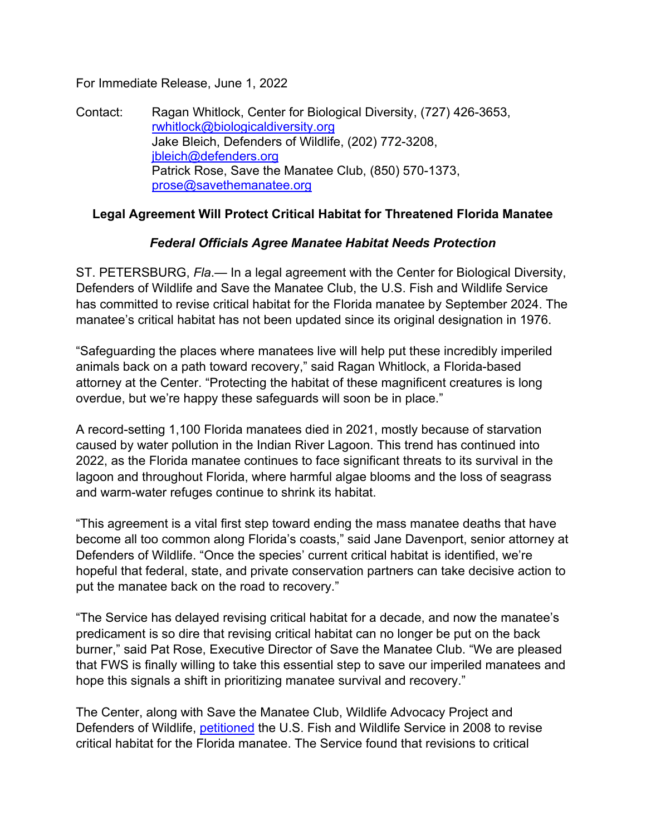For Immediate Release, June 1, 2022

Contact: Ragan Whitlock, Center for Biological Diversity, (727) 426-3653, rwhitlock@biologicaldiversity.org Jake Bleich, Defenders of Wildlife, (202) 772-3208, jbleich@defenders.org Patrick Rose, Save the Manatee Club, (850) 570-1373, prose@savethemanatee.org

## **Legal Agreement Will Protect Critical Habitat for Threatened Florida Manatee**

## *Federal Officials Agree Manatee Habitat Needs Protection*

ST. PETERSBURG, *Fla*.— In a legal agreement with the Center for Biological Diversity, Defenders of Wildlife and Save the Manatee Club, the U.S. Fish and Wildlife Service has committed to revise critical habitat for the Florida manatee by September 2024. The manatee's critical habitat has not been updated since its original designation in 1976.

"Safeguarding the places where manatees live will help put these incredibly imperiled animals back on a path toward recovery," said Ragan Whitlock, a Florida-based attorney at the Center. "Protecting the habitat of these magnificent creatures is long overdue, but we're happy these safeguards will soon be in place."

A record-setting 1,100 Florida manatees died in 2021, mostly because of starvation caused by water pollution in the Indian River Lagoon. This trend has continued into 2022, as the Florida manatee continues to face significant threats to its survival in the lagoon and throughout Florida, where harmful algae blooms and the loss of seagrass and warm-water refuges continue to shrink its habitat.

"This agreement is a vital first step toward ending the mass manatee deaths that have become all too common along Florida's coasts," said Jane Davenport, senior attorney at Defenders of Wildlife. "Once the species' current critical habitat is identified, we're hopeful that federal, state, and private conservation partners can take decisive action to put the manatee back on the road to recovery."

"The Service has delayed revising critical habitat for a decade, and now the manatee's predicament is so dire that revising critical habitat can no longer be put on the back burner," said Pat Rose, Executive Director of Save the Manatee Club. "We are pleased that FWS is finally willing to take this essential step to save our imperiled manatees and hope this signals a shift in prioritizing manatee survival and recovery."

The Center, along with Save the Manatee Club, Wildlife Advocacy Project and Defenders of Wildlife, petitioned the U.S. Fish and Wildlife Service in 2008 to revise critical habitat for the Florida manatee. The Service found that revisions to critical